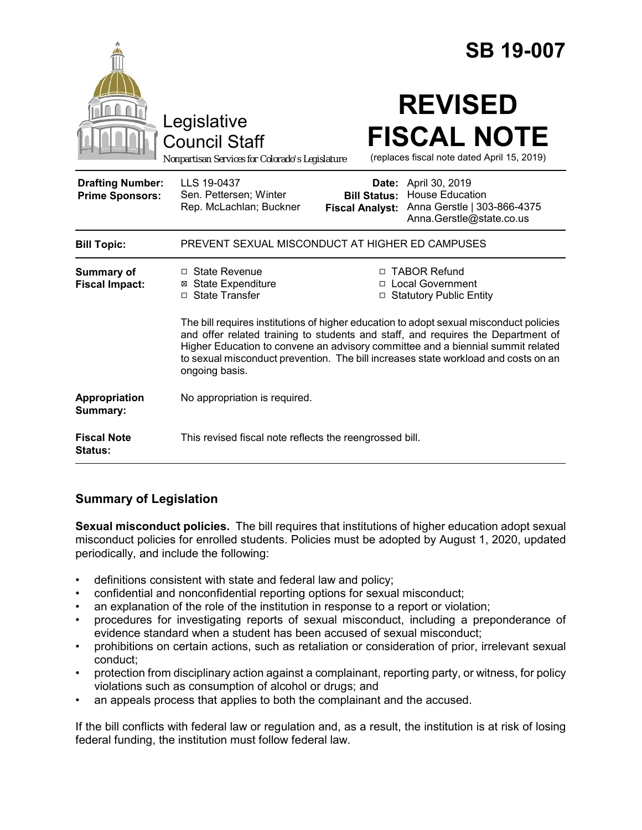|                                                   |                                                                                                                                                                                                                                                                                                                                                                                                                                                                                                                      |                                               | <b>SB 19-007</b>                                                                                          |
|---------------------------------------------------|----------------------------------------------------------------------------------------------------------------------------------------------------------------------------------------------------------------------------------------------------------------------------------------------------------------------------------------------------------------------------------------------------------------------------------------------------------------------------------------------------------------------|-----------------------------------------------|-----------------------------------------------------------------------------------------------------------|
|                                                   | Legislative<br><b>Council Staff</b><br>Nonpartisan Services for Colorado's Legislature                                                                                                                                                                                                                                                                                                                                                                                                                               |                                               | <b>REVISED</b><br><b>FISCAL NOTE</b><br>(replaces fiscal note dated April 15, 2019)                       |
| <b>Drafting Number:</b><br><b>Prime Sponsors:</b> | LLS 19-0437<br>Sen. Pettersen; Winter<br>Rep. McLachlan; Buckner                                                                                                                                                                                                                                                                                                                                                                                                                                                     | <b>Bill Status:</b><br><b>Fiscal Analyst:</b> | Date: April 30, 2019<br><b>House Education</b><br>Anna Gerstle   303-866-4375<br>Anna.Gerstle@state.co.us |
| <b>Bill Topic:</b>                                | PREVENT SEXUAL MISCONDUCT AT HIGHER ED CAMPUSES                                                                                                                                                                                                                                                                                                                                                                                                                                                                      |                                               |                                                                                                           |
| <b>Summary of</b><br><b>Fiscal Impact:</b>        | $\Box$ State Revenue<br>□ TABOR Refund<br><b>⊠</b> State Expenditure<br>□ Local Government<br>□ State Transfer<br>□ Statutory Public Entity<br>The bill requires institutions of higher education to adopt sexual misconduct policies<br>and offer related training to students and staff, and requires the Department of<br>Higher Education to convene an advisory committee and a biennial summit related<br>to sexual misconduct prevention. The bill increases state workload and costs on an<br>ongoing basis. |                                               |                                                                                                           |
| Appropriation<br>Summary:                         | No appropriation is required.                                                                                                                                                                                                                                                                                                                                                                                                                                                                                        |                                               |                                                                                                           |
| <b>Fiscal Note</b><br>Status:                     | This revised fiscal note reflects the reengrossed bill.                                                                                                                                                                                                                                                                                                                                                                                                                                                              |                                               |                                                                                                           |

## **Summary of Legislation**

**Sexual misconduct policies.** The bill requires that institutions of higher education adopt sexual misconduct policies for enrolled students. Policies must be adopted by August 1, 2020, updated periodically, and include the following:

- definitions consistent with state and federal law and policy;
- confidential and nonconfidential reporting options for sexual misconduct;
- an explanation of the role of the institution in response to a report or violation;
- procedures for investigating reports of sexual misconduct, including a preponderance of evidence standard when a student has been accused of sexual misconduct;
- prohibitions on certain actions, such as retaliation or consideration of prior, irrelevant sexual conduct;
- protection from disciplinary action against a complainant, reporting party, or witness, for policy violations such as consumption of alcohol or drugs; and
- an appeals process that applies to both the complainant and the accused.

If the bill conflicts with federal law or regulation and, as a result, the institution is at risk of losing federal funding, the institution must follow federal law.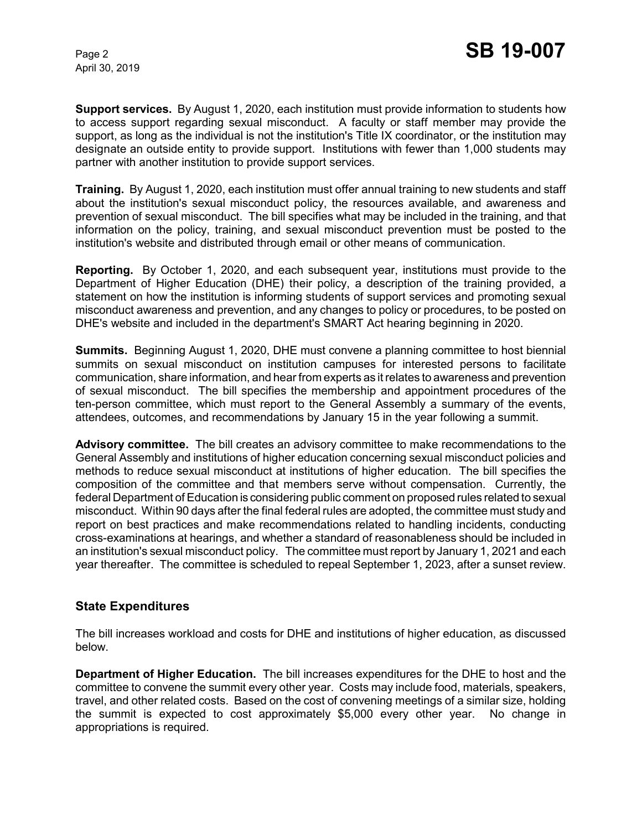April 30, 2019

**Support services.** By August 1, 2020, each institution must provide information to students how to access support regarding sexual misconduct. A faculty or staff member may provide the support, as long as the individual is not the institution's Title IX coordinator, or the institution may designate an outside entity to provide support. Institutions with fewer than 1,000 students may partner with another institution to provide support services.

**Training.** By August 1, 2020, each institution must offer annual training to new students and staff about the institution's sexual misconduct policy, the resources available, and awareness and prevention of sexual misconduct. The bill specifies what may be included in the training, and that information on the policy, training, and sexual misconduct prevention must be posted to the institution's website and distributed through email or other means of communication.

**Reporting.** By October 1, 2020, and each subsequent year, institutions must provide to the Department of Higher Education (DHE) their policy, a description of the training provided, a statement on how the institution is informing students of support services and promoting sexual misconduct awareness and prevention, and any changes to policy or procedures, to be posted on DHE's website and included in the department's SMART Act hearing beginning in 2020.

**Summits.** Beginning August 1, 2020, DHE must convene a planning committee to host biennial summits on sexual misconduct on institution campuses for interested persons to facilitate communication, share information, and hear from experts as it relates to awareness and prevention of sexual misconduct. The bill specifies the membership and appointment procedures of the ten-person committee, which must report to the General Assembly a summary of the events, attendees, outcomes, and recommendations by January 15 in the year following a summit.

**Advisory committee.** The bill creates an advisory committee to make recommendations to the General Assembly and institutions of higher education concerning sexual misconduct policies and methods to reduce sexual misconduct at institutions of higher education. The bill specifies the composition of the committee and that members serve without compensation. Currently, the federal Department of Education is considering public comment on proposed rules related to sexual misconduct. Within 90 days after the final federal rules are adopted, the committee must study and report on best practices and make recommendations related to handling incidents, conducting cross-examinations at hearings, and whether a standard of reasonableness should be included in an institution's sexual misconduct policy. The committee must report by January 1, 2021 and each year thereafter. The committee is scheduled to repeal September 1, 2023, after a sunset review.

## **State Expenditures**

The bill increases workload and costs for DHE and institutions of higher education, as discussed below.

**Department of Higher Education.** The bill increases expenditures for the DHE to host and the committee to convene the summit every other year. Costs may include food, materials, speakers, travel, and other related costs. Based on the cost of convening meetings of a similar size, holding the summit is expected to cost approximately \$5,000 every other year. No change in appropriations is required.